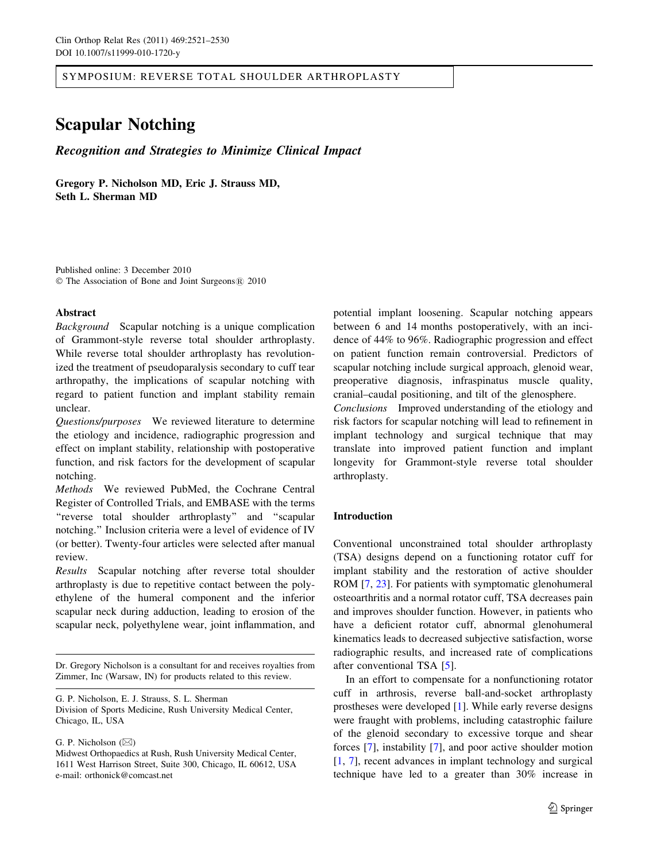SYMPOSIUM: REVERSE TOTAL SHOULDER ARTHROPLASTY

# Scapular Notching

Recognition and Strategies to Minimize Clinical Impact

Gregory P. Nicholson MD, Eric J. Strauss MD, Seth L. Sherman MD

Published online: 3 December 2010 © The Association of Bone and Joint Surgeons® 2010

#### Abstract

Background Scapular notching is a unique complication of Grammont-style reverse total shoulder arthroplasty. While reverse total shoulder arthroplasty has revolutionized the treatment of pseudoparalysis secondary to cuff tear arthropathy, the implications of scapular notching with regard to patient function and implant stability remain unclear.

Questions/purposes We reviewed literature to determine the etiology and incidence, radiographic progression and effect on implant stability, relationship with postoperative function, and risk factors for the development of scapular notching.

Methods We reviewed PubMed, the Cochrane Central Register of Controlled Trials, and EMBASE with the terms "reverse total shoulder arthroplasty" and "scapular notching.'' Inclusion criteria were a level of evidence of IV (or better). Twenty-four articles were selected after manual review.

Results Scapular notching after reverse total shoulder arthroplasty is due to repetitive contact between the polyethylene of the humeral component and the inferior scapular neck during adduction, leading to erosion of the scapular neck, polyethylene wear, joint inflammation, and

Dr. Gregory Nicholson is a consultant for and receives royalties from Zimmer, Inc (Warsaw, IN) for products related to this review.

G. P. Nicholson, E. J. Strauss, S. L. Sherman Division of Sports Medicine, Rush University Medical Center, Chicago, IL, USA

G. P. Nicholson  $(\boxtimes)$ 

potential implant loosening. Scapular notching appears between 6 and 14 months postoperatively, with an incidence of 44% to 96%. Radiographic progression and effect on patient function remain controversial. Predictors of scapular notching include surgical approach, glenoid wear, preoperative diagnosis, infraspinatus muscle quality, cranial–caudal positioning, and tilt of the glenosphere.

Conclusions Improved understanding of the etiology and risk factors for scapular notching will lead to refinement in implant technology and surgical technique that may translate into improved patient function and implant longevity for Grammont-style reverse total shoulder arthroplasty.

## Introduction

Conventional unconstrained total shoulder arthroplasty (TSA) designs depend on a functioning rotator cuff for implant stability and the restoration of active shoulder ROM [7, 23]. For patients with symptomatic glenohumeral osteoarthritis and a normal rotator cuff, TSA decreases pain and improves shoulder function. However, in patients who have a deficient rotator cuff, abnormal glenohumeral kinematics leads to decreased subjective satisfaction, worse radiographic results, and increased rate of complications after conventional TSA [5].

In an effort to compensate for a nonfunctioning rotator cuff in arthrosis, reverse ball-and-socket arthroplasty prostheses were developed [1]. While early reverse designs were fraught with problems, including catastrophic failure of the glenoid secondary to excessive torque and shear forces [7], instability [7], and poor active shoulder motion [1, 7], recent advances in implant technology and surgical technique have led to a greater than 30% increase in

Midwest Orthopaedics at Rush, Rush University Medical Center, 1611 West Harrison Street, Suite 300, Chicago, IL 60612, USA e-mail: orthonick@comcast.net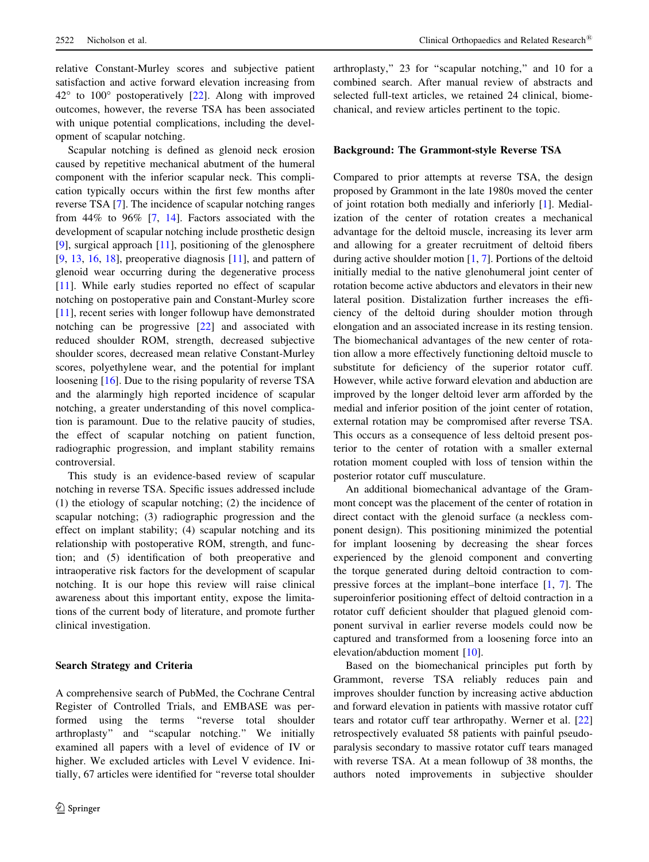relative Constant-Murley scores and subjective patient satisfaction and active forward elevation increasing from  $42^{\circ}$  to  $100^{\circ}$  postoperatively [22]. Along with improved outcomes, however, the reverse TSA has been associated with unique potential complications, including the development of scapular notching.

Scapular notching is defined as glenoid neck erosion caused by repetitive mechanical abutment of the humeral component with the inferior scapular neck. This complication typically occurs within the first few months after reverse TSA [7]. The incidence of scapular notching ranges from 44% to 96%  $[7, 14]$ . Factors associated with the development of scapular notching include prosthetic design [9], surgical approach [11], positioning of the glenosphere [9, 13, 16, 18], preoperative diagnosis [11], and pattern of glenoid wear occurring during the degenerative process [11]. While early studies reported no effect of scapular notching on postoperative pain and Constant-Murley score [11], recent series with longer followup have demonstrated notching can be progressive [22] and associated with reduced shoulder ROM, strength, decreased subjective shoulder scores, decreased mean relative Constant-Murley scores, polyethylene wear, and the potential for implant loosening [16]. Due to the rising popularity of reverse TSA and the alarmingly high reported incidence of scapular notching, a greater understanding of this novel complication is paramount. Due to the relative paucity of studies, the effect of scapular notching on patient function, radiographic progression, and implant stability remains controversial.

This study is an evidence-based review of scapular notching in reverse TSA. Specific issues addressed include (1) the etiology of scapular notching; (2) the incidence of scapular notching; (3) radiographic progression and the effect on implant stability; (4) scapular notching and its relationship with postoperative ROM, strength, and function; and (5) identification of both preoperative and intraoperative risk factors for the development of scapular notching. It is our hope this review will raise clinical awareness about this important entity, expose the limitations of the current body of literature, and promote further clinical investigation.

## Search Strategy and Criteria

A comprehensive search of PubMed, the Cochrane Central Register of Controlled Trials, and EMBASE was performed using the terms "reverse total shoulder arthroplasty'' and ''scapular notching.'' We initially examined all papers with a level of evidence of IV or higher. We excluded articles with Level V evidence. Initially, 67 articles were identified for ''reverse total shoulder

arthroplasty,'' 23 for ''scapular notching,'' and 10 for a combined search. After manual review of abstracts and selected full-text articles, we retained 24 clinical, biomechanical, and review articles pertinent to the topic.

### Background: The Grammont-style Reverse TSA

Compared to prior attempts at reverse TSA, the design proposed by Grammont in the late 1980s moved the center of joint rotation both medially and inferiorly [1]. Medialization of the center of rotation creates a mechanical advantage for the deltoid muscle, increasing its lever arm and allowing for a greater recruitment of deltoid fibers during active shoulder motion  $[1, 7]$ . Portions of the deltoid initially medial to the native glenohumeral joint center of rotation become active abductors and elevators in their new lateral position. Distalization further increases the efficiency of the deltoid during shoulder motion through elongation and an associated increase in its resting tension. The biomechanical advantages of the new center of rotation allow a more effectively functioning deltoid muscle to substitute for deficiency of the superior rotator cuff. However, while active forward elevation and abduction are improved by the longer deltoid lever arm afforded by the medial and inferior position of the joint center of rotation, external rotation may be compromised after reverse TSA. This occurs as a consequence of less deltoid present posterior to the center of rotation with a smaller external rotation moment coupled with loss of tension within the posterior rotator cuff musculature.

An additional biomechanical advantage of the Grammont concept was the placement of the center of rotation in direct contact with the glenoid surface (a neckless component design). This positioning minimized the potential for implant loosening by decreasing the shear forces experienced by the glenoid component and converting the torque generated during deltoid contraction to compressive forces at the implant–bone interface [1, 7]. The superoinferior positioning effect of deltoid contraction in a rotator cuff deficient shoulder that plagued glenoid component survival in earlier reverse models could now be captured and transformed from a loosening force into an elevation/abduction moment [10].

Based on the biomechanical principles put forth by Grammont, reverse TSA reliably reduces pain and improves shoulder function by increasing active abduction and forward elevation in patients with massive rotator cuff tears and rotator cuff tear arthropathy. Werner et al. [22] retrospectively evaluated 58 patients with painful pseudoparalysis secondary to massive rotator cuff tears managed with reverse TSA. At a mean followup of 38 months, the authors noted improvements in subjective shoulder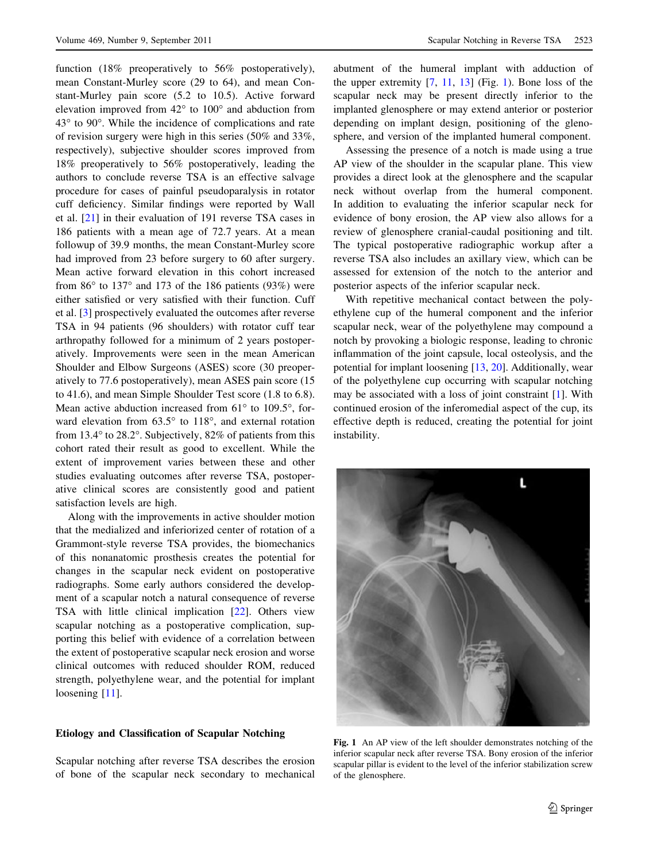function (18% preoperatively to 56% postoperatively), mean Constant-Murley score (29 to 64), and mean Constant-Murley pain score (5.2 to 10.5). Active forward elevation improved from  $42^{\circ}$  to  $100^{\circ}$  and abduction from  $43^\circ$  to  $90^\circ$ . While the incidence of complications and rate of revision surgery were high in this series (50% and 33%, respectively), subjective shoulder scores improved from 18% preoperatively to 56% postoperatively, leading the authors to conclude reverse TSA is an effective salvage procedure for cases of painful pseudoparalysis in rotator cuff deficiency. Similar findings were reported by Wall et al. [21] in their evaluation of 191 reverse TSA cases in 186 patients with a mean age of 72.7 years. At a mean followup of 39.9 months, the mean Constant-Murley score had improved from 23 before surgery to 60 after surgery. Mean active forward elevation in this cohort increased from  $86^{\circ}$  to  $137^{\circ}$  and 173 of the 186 patients (93%) were either satisfied or very satisfied with their function. Cuff et al. [3] prospectively evaluated the outcomes after reverse TSA in 94 patients (96 shoulders) with rotator cuff tear arthropathy followed for a minimum of 2 years postoperatively. Improvements were seen in the mean American Shoulder and Elbow Surgeons (ASES) score (30 preoperatively to 77.6 postoperatively), mean ASES pain score (15 to 41.6), and mean Simple Shoulder Test score (1.8 to 6.8). Mean active abduction increased from  $61^{\circ}$  to  $109.5^{\circ}$ , forward elevation from  $63.5^{\circ}$  to  $118^{\circ}$ , and external rotation from 13.4 $\degree$  to 28.2 $\degree$ . Subjectively, 82% of patients from this cohort rated their result as good to excellent. While the extent of improvement varies between these and other studies evaluating outcomes after reverse TSA, postoperative clinical scores are consistently good and patient satisfaction levels are high.

Along with the improvements in active shoulder motion that the medialized and inferiorized center of rotation of a Grammont-style reverse TSA provides, the biomechanics of this nonanatomic prosthesis creates the potential for changes in the scapular neck evident on postoperative radiographs. Some early authors considered the development of a scapular notch a natural consequence of reverse TSA with little clinical implication [22]. Others view scapular notching as a postoperative complication, supporting this belief with evidence of a correlation between the extent of postoperative scapular neck erosion and worse clinical outcomes with reduced shoulder ROM, reduced strength, polyethylene wear, and the potential for implant loosening [11].

## Etiology and Classification of Scapular Notching

Scapular notching after reverse TSA describes the erosion of bone of the scapular neck secondary to mechanical

abutment of the humeral implant with adduction of the upper extremity  $[7, 11, 13]$  (Fig. 1). Bone loss of the scapular neck may be present directly inferior to the implanted glenosphere or may extend anterior or posterior depending on implant design, positioning of the glenosphere, and version of the implanted humeral component.

Assessing the presence of a notch is made using a true AP view of the shoulder in the scapular plane. This view provides a direct look at the glenosphere and the scapular neck without overlap from the humeral component. In addition to evaluating the inferior scapular neck for evidence of bony erosion, the AP view also allows for a review of glenosphere cranial-caudal positioning and tilt. The typical postoperative radiographic workup after a reverse TSA also includes an axillary view, which can be assessed for extension of the notch to the anterior and posterior aspects of the inferior scapular neck.

With repetitive mechanical contact between the polyethylene cup of the humeral component and the inferior scapular neck, wear of the polyethylene may compound a notch by provoking a biologic response, leading to chronic inflammation of the joint capsule, local osteolysis, and the potential for implant loosening [13, 20]. Additionally, wear of the polyethylene cup occurring with scapular notching may be associated with a loss of joint constraint [1]. With continued erosion of the inferomedial aspect of the cup, its effective depth is reduced, creating the potential for joint instability.



Fig. 1 An AP view of the left shoulder demonstrates notching of the inferior scapular neck after reverse TSA. Bony erosion of the inferior scapular pillar is evident to the level of the inferior stabilization screw of the glenosphere.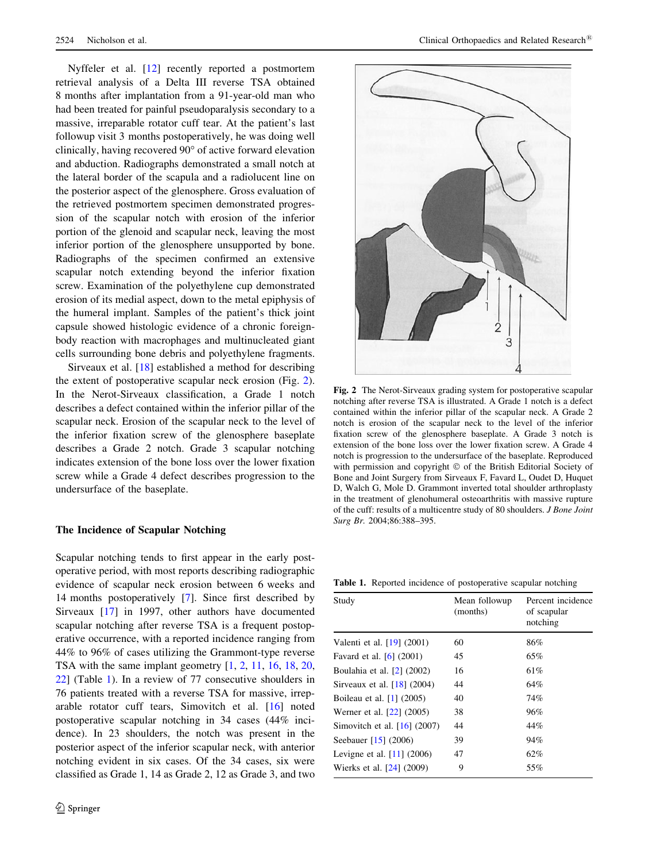Nyffeler et al. [12] recently reported a postmortem retrieval analysis of a Delta III reverse TSA obtained 8 months after implantation from a 91-year-old man who had been treated for painful pseudoparalysis secondary to a massive, irreparable rotator cuff tear. At the patient's last followup visit 3 months postoperatively, he was doing well clinically, having recovered  $90^{\circ}$  of active forward elevation and abduction. Radiographs demonstrated a small notch at the lateral border of the scapula and a radiolucent line on the posterior aspect of the glenosphere. Gross evaluation of the retrieved postmortem specimen demonstrated progression of the scapular notch with erosion of the inferior portion of the glenoid and scapular neck, leaving the most inferior portion of the glenosphere unsupported by bone. Radiographs of the specimen confirmed an extensive scapular notch extending beyond the inferior fixation screw. Examination of the polyethylene cup demonstrated erosion of its medial aspect, down to the metal epiphysis of the humeral implant. Samples of the patient's thick joint capsule showed histologic evidence of a chronic foreignbody reaction with macrophages and multinucleated giant cells surrounding bone debris and polyethylene fragments.

Sirveaux et al. [18] established a method for describing the extent of postoperative scapular neck erosion (Fig. 2). In the Nerot-Sirveaux classification, a Grade 1 notch describes a defect contained within the inferior pillar of the scapular neck. Erosion of the scapular neck to the level of the inferior fixation screw of the glenosphere baseplate describes a Grade 2 notch. Grade 3 scapular notching indicates extension of the bone loss over the lower fixation screw while a Grade 4 defect describes progression to the undersurface of the baseplate.

#### The Incidence of Scapular Notching

Scapular notching tends to first appear in the early postoperative period, with most reports describing radiographic evidence of scapular neck erosion between 6 weeks and 14 months postoperatively [7]. Since first described by Sirveaux [17] in 1997, other authors have documented scapular notching after reverse TSA is a frequent postoperative occurrence, with a reported incidence ranging from 44% to 96% of cases utilizing the Grammont-type reverse TSA with the same implant geometry [1, 2, 11, 16, 18, 20, 22] (Table 1). In a review of 77 consecutive shoulders in 76 patients treated with a reverse TSA for massive, irreparable rotator cuff tears, Simovitch et al. [16] noted postoperative scapular notching in 34 cases (44% incidence). In 23 shoulders, the notch was present in the posterior aspect of the inferior scapular neck, with anterior notching evident in six cases. Of the 34 cases, six were classified as Grade 1, 14 as Grade 2, 12 as Grade 3, and two



Fig. 2 The Nerot-Sirveaux grading system for postoperative scapular notching after reverse TSA is illustrated. A Grade 1 notch is a defect contained within the inferior pillar of the scapular neck. A Grade 2 notch is erosion of the scapular neck to the level of the inferior fixation screw of the glenosphere baseplate. A Grade 3 notch is extension of the bone loss over the lower fixation screw. A Grade 4 notch is progression to the undersurface of the baseplate. Reproduced with permission and copyright  $\heartsuit$  of the British Editorial Society of Bone and Joint Surgery from Sirveaux F, Favard L, Oudet D, Huquet D, Walch G, Mole D. Grammont inverted total shoulder arthroplasty in the treatment of glenohumeral osteoarthritis with massive rupture of the cuff: results of a multicentre study of 80 shoulders. J Bone Joint Surg Br. 2004;86:388–395.

Table 1. Reported incidence of postoperative scapular notching

| Study                          | Mean followup<br>(months) | Percent incidence<br>of scapular<br>notching |
|--------------------------------|---------------------------|----------------------------------------------|
| Valenti et al. [19] (2001)     | 60                        | 86%                                          |
| Favard et al. [6] (2001)       | 45                        | 65%                                          |
| Boulahia et al. [2] (2002)     | 16                        | 61%                                          |
| Sirveaux et al. [18] (2004)    | 44                        | 64%                                          |
| Boileau et al. [1] (2005)      | 40                        | 74%                                          |
| Werner et al. [22] (2005)      | 38                        | 96%                                          |
| Simovitch et al. $[16]$ (2007) | 44                        | 44%                                          |
| Seebauer [15] (2006)           | 39                        | 94%                                          |
| Levigne et al. $[11]$ (2006)   | 47                        | 62%                                          |
| Wierks et al. [24] (2009)      | 9                         | 55%                                          |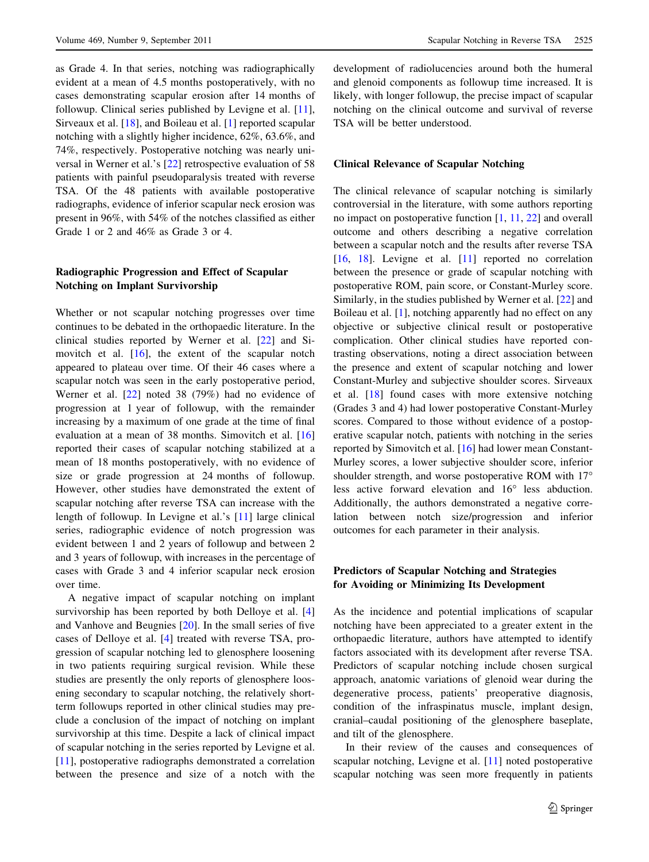as Grade 4. In that series, notching was radiographically evident at a mean of 4.5 months postoperatively, with no cases demonstrating scapular erosion after 14 months of followup. Clinical series published by Levigne et al. [11], Sirveaux et al. [18], and Boileau et al. [1] reported scapular notching with a slightly higher incidence, 62%, 63.6%, and 74%, respectively. Postoperative notching was nearly universal in Werner et al.'s [22] retrospective evaluation of 58 patients with painful pseudoparalysis treated with reverse TSA. Of the 48 patients with available postoperative radiographs, evidence of inferior scapular neck erosion was present in 96%, with 54% of the notches classified as either Grade 1 or 2 and 46% as Grade 3 or 4.

# Radiographic Progression and Effect of Scapular Notching on Implant Survivorship

Whether or not scapular notching progresses over time continues to be debated in the orthopaedic literature. In the clinical studies reported by Werner et al. [22] and Simovitch et al. [16], the extent of the scapular notch appeared to plateau over time. Of their 46 cases where a scapular notch was seen in the early postoperative period, Werner et al. [22] noted 38 (79%) had no evidence of progression at 1 year of followup, with the remainder increasing by a maximum of one grade at the time of final evaluation at a mean of 38 months. Simovitch et al. [16] reported their cases of scapular notching stabilized at a mean of 18 months postoperatively, with no evidence of size or grade progression at 24 months of followup. However, other studies have demonstrated the extent of scapular notching after reverse TSA can increase with the length of followup. In Levigne et al.'s [11] large clinical series, radiographic evidence of notch progression was evident between 1 and 2 years of followup and between 2 and 3 years of followup, with increases in the percentage of cases with Grade 3 and 4 inferior scapular neck erosion over time.

A negative impact of scapular notching on implant survivorship has been reported by both Delloye et al. [4] and Vanhove and Beugnies [20]. In the small series of five cases of Delloye et al. [4] treated with reverse TSA, progression of scapular notching led to glenosphere loosening in two patients requiring surgical revision. While these studies are presently the only reports of glenosphere loosening secondary to scapular notching, the relatively shortterm followups reported in other clinical studies may preclude a conclusion of the impact of notching on implant survivorship at this time. Despite a lack of clinical impact of scapular notching in the series reported by Levigne et al. [11], postoperative radiographs demonstrated a correlation between the presence and size of a notch with the development of radiolucencies around both the humeral and glenoid components as followup time increased. It is likely, with longer followup, the precise impact of scapular notching on the clinical outcome and survival of reverse TSA will be better understood.

#### Clinical Relevance of Scapular Notching

The clinical relevance of scapular notching is similarly controversial in the literature, with some authors reporting no impact on postoperative function [1, 11, 22] and overall outcome and others describing a negative correlation between a scapular notch and the results after reverse TSA [16, 18]. Levigne et al. [11] reported no correlation between the presence or grade of scapular notching with postoperative ROM, pain score, or Constant-Murley score. Similarly, in the studies published by Werner et al. [22] and Boileau et al. [1], notching apparently had no effect on any objective or subjective clinical result or postoperative complication. Other clinical studies have reported contrasting observations, noting a direct association between the presence and extent of scapular notching and lower Constant-Murley and subjective shoulder scores. Sirveaux et al. [18] found cases with more extensive notching (Grades 3 and 4) had lower postoperative Constant-Murley scores. Compared to those without evidence of a postoperative scapular notch, patients with notching in the series reported by Simovitch et al. [16] had lower mean Constant-Murley scores, a lower subjective shoulder score, inferior shoulder strength, and worse postoperative ROM with 17 less active forward elevation and  $16^{\circ}$  less abduction. Additionally, the authors demonstrated a negative correlation between notch size/progression and inferior outcomes for each parameter in their analysis.

# Predictors of Scapular Notching and Strategies for Avoiding or Minimizing Its Development

As the incidence and potential implications of scapular notching have been appreciated to a greater extent in the orthopaedic literature, authors have attempted to identify factors associated with its development after reverse TSA. Predictors of scapular notching include chosen surgical approach, anatomic variations of glenoid wear during the degenerative process, patients' preoperative diagnosis, condition of the infraspinatus muscle, implant design, cranial–caudal positioning of the glenosphere baseplate, and tilt of the glenosphere.

In their review of the causes and consequences of scapular notching, Levigne et al. [11] noted postoperative scapular notching was seen more frequently in patients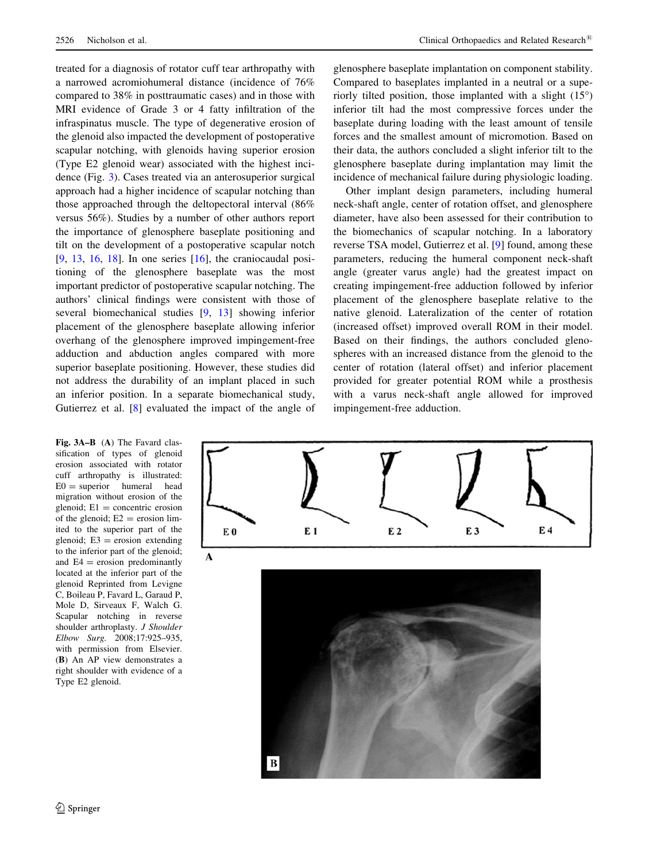treated for a diagnosis of rotator cuff tear arthropathy with a narrowed acromiohumeral distance (incidence of 76% compared to 38% in posttraumatic cases) and in those with MRI evidence of Grade 3 or 4 fatty infiltration of the infraspinatus muscle. The type of degenerative erosion of the glenoid also impacted the development of postoperative scapular notching, with glenoids having superior erosion (Type E2 glenoid wear) associated with the highest incidence (Fig. 3). Cases treated via an anterosuperior surgical approach had a higher incidence of scapular notching than those approached through the deltopectoral interval (86% versus 56%). Studies by a number of other authors report the importance of glenosphere baseplate positioning and tilt on the development of a postoperative scapular notch [9, 13, 16, 18]. In one series  $[16]$ , the craniocaudal positioning of the glenosphere baseplate was the most important predictor of postoperative scapular notching. The authors' clinical findings were consistent with those of several biomechanical studies [9, 13] showing inferior placement of the glenosphere baseplate allowing inferior overhang of the glenosphere improved impingement-free adduction and abduction angles compared with more superior baseplate positioning. However, these studies did not address the durability of an implant placed in such an inferior position. In a separate biomechanical study, Gutierrez et al. [8] evaluated the impact of the angle of glenosphere baseplate implantation on component stability. Compared to baseplates implanted in a neutral or a superiorly tilted position, those implanted with a slight  $(15^{\circ})$ inferior tilt had the most compressive forces under the baseplate during loading with the least amount of tensile forces and the smallest amount of micromotion. Based on their data, the authors concluded a slight inferior tilt to the glenosphere baseplate during implantation may limit the incidence of mechanical failure during physiologic loading.

Other implant design parameters, including humeral neck-shaft angle, center of rotation offset, and glenosphere diameter, have also been assessed for their contribution to the biomechanics of scapular notching. In a laboratory reverse TSA model, Gutierrez et al. [9] found, among these parameters, reducing the humeral component neck-shaft angle (greater varus angle) had the greatest impact on creating impingement-free adduction followed by inferior placement of the glenosphere baseplate relative to the native glenoid. Lateralization of the center of rotation (increased offset) improved overall ROM in their model. Based on their findings, the authors concluded glenospheres with an increased distance from the glenoid to the center of rotation (lateral offset) and inferior placement provided for greater potential ROM while a prosthesis with a varus neck-shaft angle allowed for improved impingement-free adduction.

Fig. 3A–B (A) The Favard classification of types of glenoid erosion associated with rotator cuff arthropathy is illustrated:  $E0 =$  superior humeral head migration without erosion of the glenoid;  $E1$  = concentric erosion of the glenoid;  $E2 =$  erosion limited to the superior part of the glenoid;  $E3 =$  erosion extending to the inferior part of the glenoid; and  $E4$  = erosion predominantly located at the inferior part of the glenoid Reprinted from Levigne C, Boileau P, Favard L, Garaud P, Mole D, Sirveaux F, Walch G. Scapular notching in reverse shoulder arthroplasty. J Shoulder Elbow Surg. 2008;17:925–935, with permission from Elsevier. (B) An AP view demonstrates a right shoulder with evidence of a Type E2 glenoid.

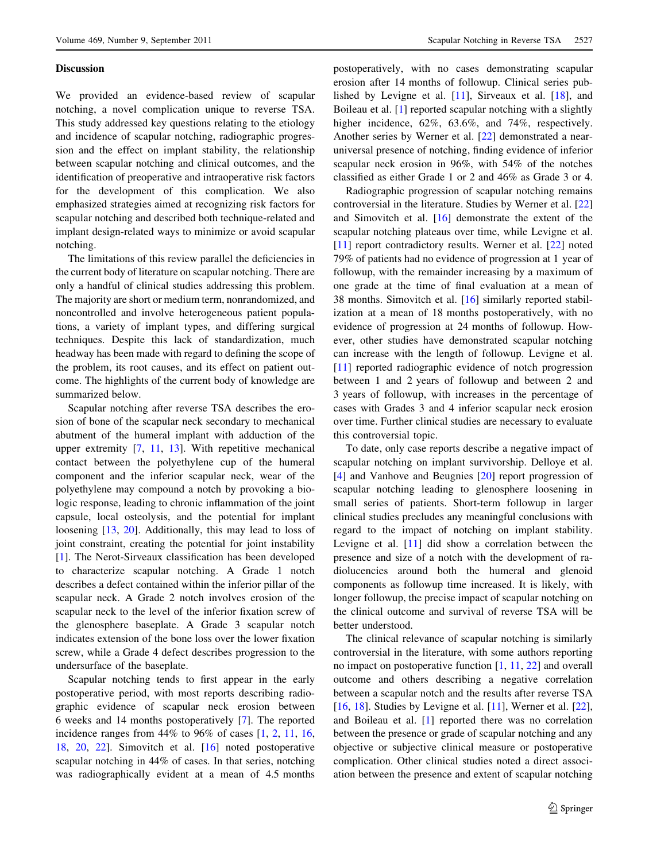#### **Discussion**

We provided an evidence-based review of scapular notching, a novel complication unique to reverse TSA. This study addressed key questions relating to the etiology and incidence of scapular notching, radiographic progression and the effect on implant stability, the relationship between scapular notching and clinical outcomes, and the identification of preoperative and intraoperative risk factors for the development of this complication. We also emphasized strategies aimed at recognizing risk factors for scapular notching and described both technique-related and implant design-related ways to minimize or avoid scapular notching.

The limitations of this review parallel the deficiencies in the current body of literature on scapular notching. There are only a handful of clinical studies addressing this problem. The majority are short or medium term, nonrandomized, and noncontrolled and involve heterogeneous patient populations, a variety of implant types, and differing surgical techniques. Despite this lack of standardization, much headway has been made with regard to defining the scope of the problem, its root causes, and its effect on patient outcome. The highlights of the current body of knowledge are summarized below.

Scapular notching after reverse TSA describes the erosion of bone of the scapular neck secondary to mechanical abutment of the humeral implant with adduction of the upper extremity [7, 11, 13]. With repetitive mechanical contact between the polyethylene cup of the humeral component and the inferior scapular neck, wear of the polyethylene may compound a notch by provoking a biologic response, leading to chronic inflammation of the joint capsule, local osteolysis, and the potential for implant loosening [13, 20]. Additionally, this may lead to loss of joint constraint, creating the potential for joint instability [1]. The Nerot-Sirveaux classification has been developed to characterize scapular notching. A Grade 1 notch describes a defect contained within the inferior pillar of the scapular neck. A Grade 2 notch involves erosion of the scapular neck to the level of the inferior fixation screw of the glenosphere baseplate. A Grade 3 scapular notch indicates extension of the bone loss over the lower fixation screw, while a Grade 4 defect describes progression to the undersurface of the baseplate.

Scapular notching tends to first appear in the early postoperative period, with most reports describing radiographic evidence of scapular neck erosion between 6 weeks and 14 months postoperatively [7]. The reported incidence ranges from 44% to 96% of cases [1, 2, 11, 16, 18, 20, 22]. Simovitch et al. [16] noted postoperative scapular notching in 44% of cases. In that series, notching was radiographically evident at a mean of 4.5 months postoperatively, with no cases demonstrating scapular erosion after 14 months of followup. Clinical series published by Levigne et al. [11], Sirveaux et al. [18], and Boileau et al. [1] reported scapular notching with a slightly higher incidence,  $62\%$ ,  $63.6\%$ , and  $74\%$ , respectively. Another series by Werner et al. [22] demonstrated a nearuniversal presence of notching, finding evidence of inferior scapular neck erosion in 96%, with 54% of the notches classified as either Grade 1 or 2 and 46% as Grade 3 or 4.

Radiographic progression of scapular notching remains controversial in the literature. Studies by Werner et al. [22] and Simovitch et al. [16] demonstrate the extent of the scapular notching plateaus over time, while Levigne et al. [11] report contradictory results. Werner et al. [22] noted 79% of patients had no evidence of progression at 1 year of followup, with the remainder increasing by a maximum of one grade at the time of final evaluation at a mean of 38 months. Simovitch et al. [16] similarly reported stabilization at a mean of 18 months postoperatively, with no evidence of progression at 24 months of followup. However, other studies have demonstrated scapular notching can increase with the length of followup. Levigne et al. [11] reported radiographic evidence of notch progression between 1 and 2 years of followup and between 2 and 3 years of followup, with increases in the percentage of cases with Grades 3 and 4 inferior scapular neck erosion over time. Further clinical studies are necessary to evaluate this controversial topic.

To date, only case reports describe a negative impact of scapular notching on implant survivorship. Delloye et al. [4] and Vanhove and Beugnies [20] report progression of scapular notching leading to glenosphere loosening in small series of patients. Short-term followup in larger clinical studies precludes any meaningful conclusions with regard to the impact of notching on implant stability. Levigne et al. [11] did show a correlation between the presence and size of a notch with the development of radiolucencies around both the humeral and glenoid components as followup time increased. It is likely, with longer followup, the precise impact of scapular notching on the clinical outcome and survival of reverse TSA will be better understood.

The clinical relevance of scapular notching is similarly controversial in the literature, with some authors reporting no impact on postoperative function [1, 11, 22] and overall outcome and others describing a negative correlation between a scapular notch and the results after reverse TSA [16, 18]. Studies by Levigne et al. [11], Werner et al. [22], and Boileau et al. [1] reported there was no correlation between the presence or grade of scapular notching and any objective or subjective clinical measure or postoperative complication. Other clinical studies noted a direct association between the presence and extent of scapular notching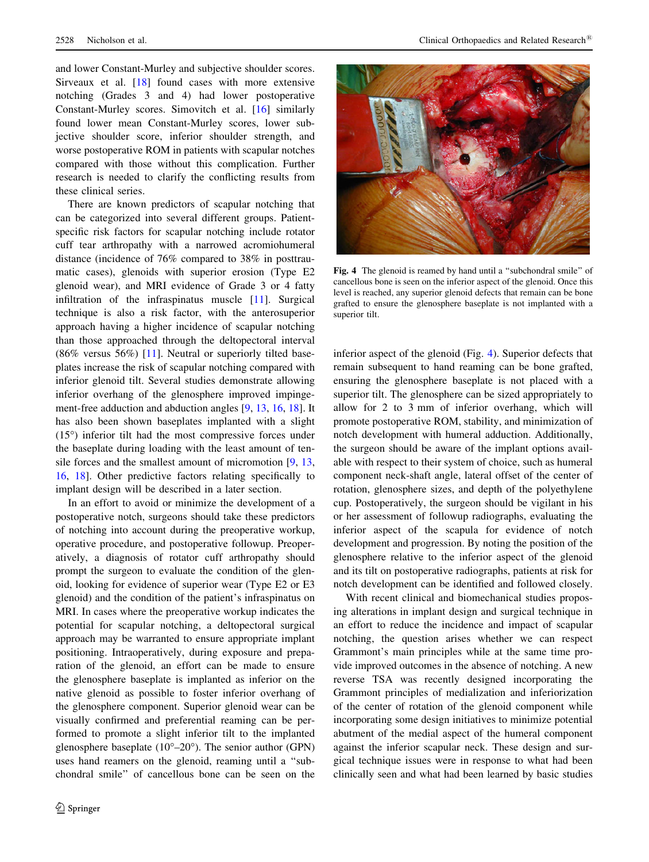and lower Constant-Murley and subjective shoulder scores. Sirveaux et al. [18] found cases with more extensive notching (Grades 3 and 4) had lower postoperative Constant-Murley scores. Simovitch et al. [16] similarly found lower mean Constant-Murley scores, lower subjective shoulder score, inferior shoulder strength, and worse postoperative ROM in patients with scapular notches compared with those without this complication. Further research is needed to clarify the conflicting results from these clinical series.

There are known predictors of scapular notching that can be categorized into several different groups. Patientspecific risk factors for scapular notching include rotator cuff tear arthropathy with a narrowed acromiohumeral distance (incidence of 76% compared to 38% in posttraumatic cases), glenoids with superior erosion (Type E2 glenoid wear), and MRI evidence of Grade 3 or 4 fatty infiltration of the infraspinatus muscle [11]. Surgical technique is also a risk factor, with the anterosuperior approach having a higher incidence of scapular notching than those approached through the deltopectoral interval (86% versus 56%) [11]. Neutral or superiorly tilted baseplates increase the risk of scapular notching compared with inferior glenoid tilt. Several studies demonstrate allowing inferior overhang of the glenosphere improved impingement-free adduction and abduction angles [9, 13, 16, 18]. It has also been shown baseplates implanted with a slight  $(15^{\circ})$  inferior tilt had the most compressive forces under the baseplate during loading with the least amount of tensile forces and the smallest amount of micromotion [9, 13, 16, 18]. Other predictive factors relating specifically to implant design will be described in a later section.

In an effort to avoid or minimize the development of a postoperative notch, surgeons should take these predictors of notching into account during the preoperative workup, operative procedure, and postoperative followup. Preoperatively, a diagnosis of rotator cuff arthropathy should prompt the surgeon to evaluate the condition of the glenoid, looking for evidence of superior wear (Type E2 or E3 glenoid) and the condition of the patient's infraspinatus on MRI. In cases where the preoperative workup indicates the potential for scapular notching, a deltopectoral surgical approach may be warranted to ensure appropriate implant positioning. Intraoperatively, during exposure and preparation of the glenoid, an effort can be made to ensure the glenosphere baseplate is implanted as inferior on the native glenoid as possible to foster inferior overhang of the glenosphere component. Superior glenoid wear can be visually confirmed and preferential reaming can be performed to promote a slight inferior tilt to the implanted glenosphere baseplate  $(10^{\circ}-20^{\circ})$ . The senior author (GPN) uses hand reamers on the glenoid, reaming until a ''subchondral smile'' of cancellous bone can be seen on the



Fig. 4 The glenoid is reamed by hand until a "subchondral smile" of cancellous bone is seen on the inferior aspect of the glenoid. Once this level is reached, any superior glenoid defects that remain can be bone grafted to ensure the glenosphere baseplate is not implanted with a superior tilt.

inferior aspect of the glenoid (Fig. 4). Superior defects that remain subsequent to hand reaming can be bone grafted, ensuring the glenosphere baseplate is not placed with a superior tilt. The glenosphere can be sized appropriately to allow for 2 to 3 mm of inferior overhang, which will promote postoperative ROM, stability, and minimization of notch development with humeral adduction. Additionally, the surgeon should be aware of the implant options available with respect to their system of choice, such as humeral component neck-shaft angle, lateral offset of the center of rotation, glenosphere sizes, and depth of the polyethylene cup. Postoperatively, the surgeon should be vigilant in his or her assessment of followup radiographs, evaluating the inferior aspect of the scapula for evidence of notch development and progression. By noting the position of the glenosphere relative to the inferior aspect of the glenoid and its tilt on postoperative radiographs, patients at risk for notch development can be identified and followed closely.

With recent clinical and biomechanical studies proposing alterations in implant design and surgical technique in an effort to reduce the incidence and impact of scapular notching, the question arises whether we can respect Grammont's main principles while at the same time provide improved outcomes in the absence of notching. A new reverse TSA was recently designed incorporating the Grammont principles of medialization and inferiorization of the center of rotation of the glenoid component while incorporating some design initiatives to minimize potential abutment of the medial aspect of the humeral component against the inferior scapular neck. These design and surgical technique issues were in response to what had been clinically seen and what had been learned by basic studies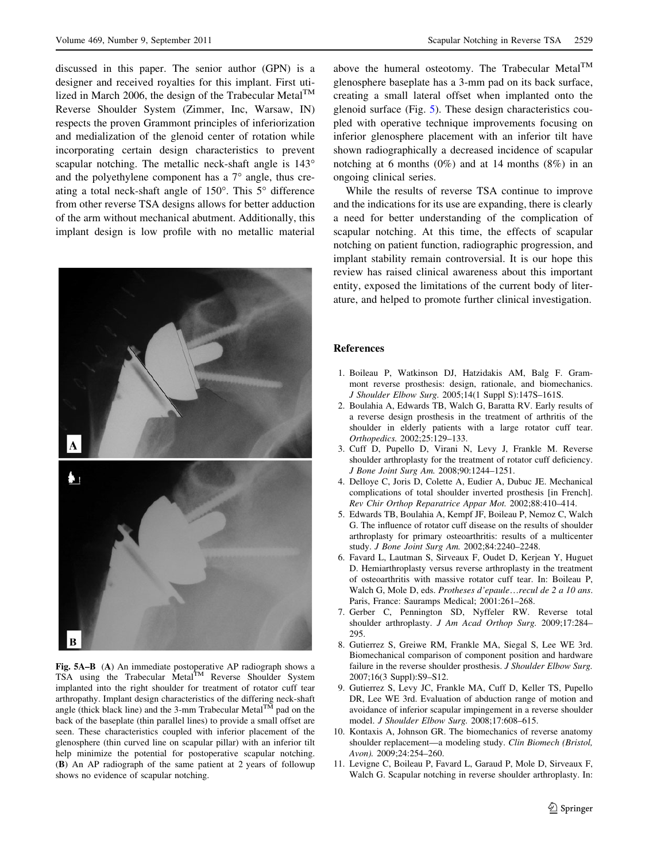discussed in this paper. The senior author (GPN) is a designer and received royalties for this implant. First utilized in March 2006, the design of the Trabecular Metal<sup>TM</sup> Reverse Shoulder System (Zimmer, Inc, Warsaw, IN) respects the proven Grammont principles of inferiorization and medialization of the glenoid center of rotation while incorporating certain design characteristics to prevent scapular notching. The metallic neck-shaft angle is 143° and the polyethylene component has a  $7^\circ$  angle, thus creating a total neck-shaft angle of  $150^\circ$ . This  $5^\circ$  difference from other reverse TSA designs allows for better adduction of the arm without mechanical abutment. Additionally, this implant design is low profile with no metallic material



Fig. 5A–B (A) An immediate postoperative AP radiograph shows a TSA using the Trabecular Metal<sup>TM</sup> Reverse Shoulder System implanted into the right shoulder for treatment of rotator cuff tear arthropathy. Implant design characteristics of the differing neck-shaft angle (thick black line) and the 3-mm Trabecular Metal $^{TM}$  pad on the back of the baseplate (thin parallel lines) to provide a small offset are seen. These characteristics coupled with inferior placement of the glenosphere (thin curved line on scapular pillar) with an inferior tilt help minimize the potential for postoperative scapular notching. (B) An AP radiograph of the same patient at 2 years of followup shows no evidence of scapular notching.

above the humeral osteotomy. The Trabecular Metal<sup>TM</sup> glenosphere baseplate has a 3-mm pad on its back surface, creating a small lateral offset when implanted onto the glenoid surface (Fig. 5). These design characteristics coupled with operative technique improvements focusing on inferior glenosphere placement with an inferior tilt have shown radiographically a decreased incidence of scapular notching at 6 months  $(0\%)$  and at 14 months  $(8\%)$  in an ongoing clinical series.

While the results of reverse TSA continue to improve and the indications for its use are expanding, there is clearly a need for better understanding of the complication of scapular notching. At this time, the effects of scapular notching on patient function, radiographic progression, and implant stability remain controversial. It is our hope this review has raised clinical awareness about this important entity, exposed the limitations of the current body of literature, and helped to promote further clinical investigation.

#### References

- 1. Boileau P, Watkinson DJ, Hatzidakis AM, Balg F. Grammont reverse prosthesis: design, rationale, and biomechanics. J Shoulder Elbow Surg. 2005;14(1 Suppl S):147S–161S.
- 2. Boulahia A, Edwards TB, Walch G, Baratta RV. Early results of a reverse design prosthesis in the treatment of arthritis of the shoulder in elderly patients with a large rotator cuff tear. Orthopedics. 2002;25:129–133.
- 3. Cuff D, Pupello D, Virani N, Levy J, Frankle M. Reverse shoulder arthroplasty for the treatment of rotator cuff deficiency. J Bone Joint Surg Am. 2008;90:1244–1251.
- 4. Delloye C, Joris D, Colette A, Eudier A, Dubuc JE. Mechanical complications of total shoulder inverted prosthesis [in French]. Rev Chir Orthop Reparatrice Appar Mot. 2002;88:410–414.
- 5. Edwards TB, Boulahia A, Kempf JF, Boileau P, Nemoz C, Walch G. The influence of rotator cuff disease on the results of shoulder arthroplasty for primary osteoarthritis: results of a multicenter study. J Bone Joint Surg Am. 2002;84:2240–2248.
- 6. Favard L, Lautman S, Sirveaux F, Oudet D, Kerjean Y, Huguet D. Hemiarthroplasty versus reverse arthroplasty in the treatment of osteoarthritis with massive rotator cuff tear. In: Boileau P, Walch G, Mole D, eds. Protheses d'epaule…recul de 2 a 10 ans. Paris, France: Sauramps Medical; 2001:261–268.
- 7. Gerber C, Pennington SD, Nyffeler RW. Reverse total shoulder arthroplasty. J Am Acad Orthop Surg. 2009;17:284– 295.
- 8. Gutierrez S, Greiwe RM, Frankle MA, Siegal S, Lee WE 3rd. Biomechanical comparison of component position and hardware failure in the reverse shoulder prosthesis. J Shoulder Elbow Surg. 2007;16(3 Suppl):S9–S12.
- 9. Gutierrez S, Levy JC, Frankle MA, Cuff D, Keller TS, Pupello DR, Lee WE 3rd. Evaluation of abduction range of motion and avoidance of inferior scapular impingement in a reverse shoulder model. J Shoulder Elbow Surg. 2008;17:608–615.
- 10. Kontaxis A, Johnson GR. The biomechanics of reverse anatomy shoulder replacement—a modeling study. Clin Biomech (Bristol, Avon). 2009;24:254–260.
- 11. Levigne C, Boileau P, Favard L, Garaud P, Mole D, Sirveaux F, Walch G. Scapular notching in reverse shoulder arthroplasty. In: